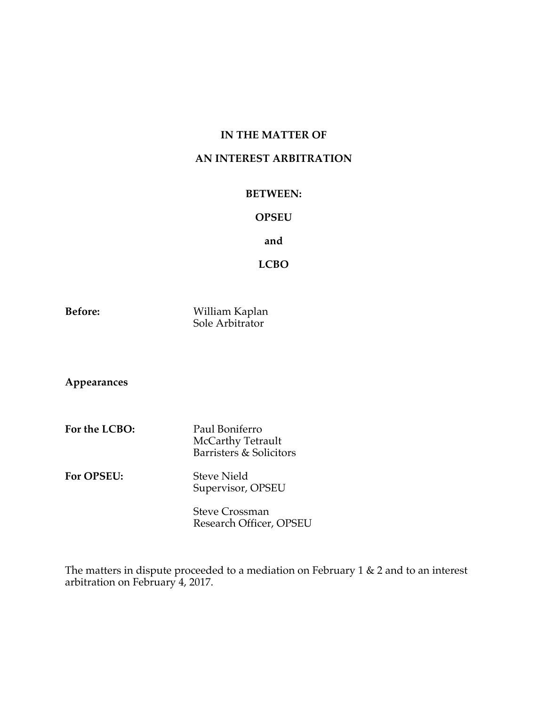# **IN THE MATTER OF**

## **AN INTEREST ARBITRATION**

### **BETWEEN:**

## **OPSEU**

**and**

**LCBO**

**Before:** William Kaplan Sole Arbitrator

**Appearances**

- For the LCBO: Paul Boniferro McCarthy Tetrault Barristers & Solicitors
- **For OPSEU:** Steve Nield Supervisor, OPSEU

Steve Crossman Research Officer, OPSEU

The matters in dispute proceeded to a mediation on February 1 & 2 and to an interest arbitration on February 4, 2017.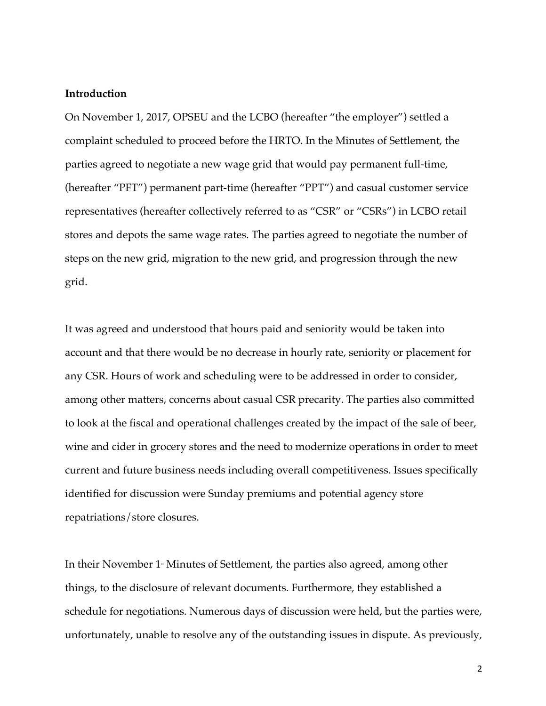#### **Introduction**

On November 1, 2017, OPSEU and the LCBO (hereafter "the employer") settled a complaint scheduled to proceed before the HRTO. In the Minutes of Settlement, the parties agreed to negotiate a new wage grid that would pay permanent full-time, (hereafter "PFT") permanent part-time (hereafter "PPT") and casual customer service representatives (hereafter collectively referred to as "CSR" or "CSRs") in LCBO retail stores and depots the same wage rates. The parties agreed to negotiate the number of steps on the new grid, migration to the new grid, and progression through the new grid.

It was agreed and understood that hours paid and seniority would be taken into account and that there would be no decrease in hourly rate, seniority or placement for any CSR. Hours of work and scheduling were to be addressed in order to consider, among other matters, concerns about casual CSR precarity. The parties also committed to look at the fiscal and operational challenges created by the impact of the sale of beer, wine and cider in grocery stores and the need to modernize operations in order to meet current and future business needs including overall competitiveness. Issues specifically identified for discussion were Sunday premiums and potential agency store repatriations/store closures.

In their November  $1$ <sup>\*</sup> Minutes of Settlement, the parties also agreed, among other things, to the disclosure of relevant documents. Furthermore, they established a schedule for negotiations. Numerous days of discussion were held, but the parties were, unfortunately, unable to resolve any of the outstanding issues in dispute. As previously,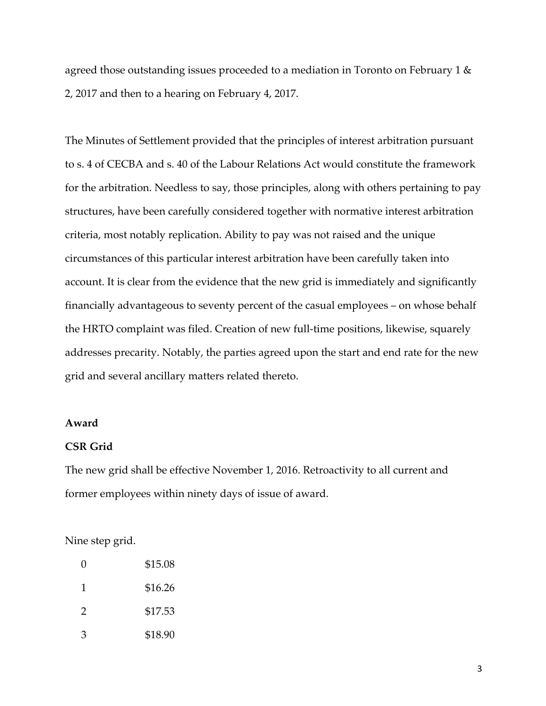agreed those outstanding issues proceeded to a mediation in Toronto on February 1 & 2, 2017 and then to a hearing on February 4, 2017.

The Minutes of Settlement provided that the principles of interest arbitration pursuant to s. 4 of CECBA and s. 40 of the Labour Relations Act would constitute the framework for the arbitration. Needless to say, those principles, along with others pertaining to pay structures, have been carefully considered together with normative interest arbitration criteria, most notably replication. Ability to pay was not raised and the unique circumstances of this particular interest arbitration have been carefully taken into account. It is clear from the evidence that the new grid is immediately and significantly financially advantageous to seventy percent of the casual employees – on whose behalf the HRTO complaint was filed. Creation of new full-time positions, likewise, squarely addresses precarity. Notably, the parties agreed upon the start and end rate for the new grid and several ancillary matters related thereto.

### **Award**

## **CSR Grid**

The new grid shall be effective November 1, 2016. Retroactivity to all current and former employees within ninety days of issue of award.

Nine step grid.

| O             | \$15.08 |
|---------------|---------|
| 1             | \$16.26 |
| $\mathcal{P}$ | \$17.53 |
| 3             | \$18.90 |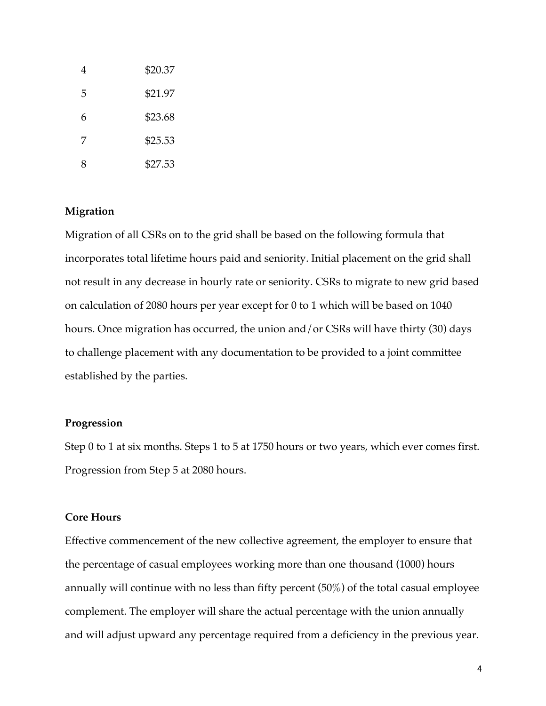| 4 | \$20.37 |
|---|---------|
| 5 | \$21.97 |
| 6 | \$23.68 |
| 7 | \$25.53 |
| 8 | \$27.53 |

# **Migration**

Migration of all CSRs on to the grid shall be based on the following formula that incorporates total lifetime hours paid and seniority. Initial placement on the grid shall not result in any decrease in hourly rate or seniority. CSRs to migrate to new grid based on calculation of 2080 hours per year except for 0 to 1 which will be based on 1040 hours. Once migration has occurred, the union and/or CSRs will have thirty (30) days to challenge placement with any documentation to be provided to a joint committee established by the parties.

### **Progression**

Step 0 to 1 at six months. Steps 1 to 5 at 1750 hours or two years, which ever comes first. Progression from Step 5 at 2080 hours.

### **Core Hours**

Effective commencement of the new collective agreement, the employer to ensure that the percentage of casual employees working more than one thousand (1000) hours annually will continue with no less than fifty percent (50%) of the total casual employee complement. The employer will share the actual percentage with the union annually and will adjust upward any percentage required from a deficiency in the previous year.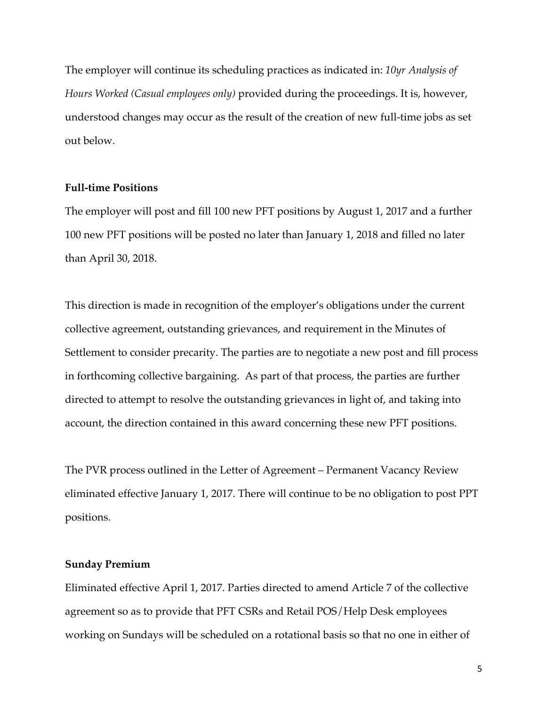The employer will continue its scheduling practices as indicated in: *10yr Analysis of Hours Worked (Casual employees only)* provided during the proceedings. It is, however, understood changes may occur as the result of the creation of new full-time jobs as set out below.

#### **Full-time Positions**

The employer will post and fill 100 new PFT positions by August 1, 2017 and a further 100 new PFT positions will be posted no later than January 1, 2018 and filled no later than April 30, 2018.

This direction is made in recognition of the employer's obligations under the current collective agreement, outstanding grievances, and requirement in the Minutes of Settlement to consider precarity. The parties are to negotiate a new post and fill process in forthcoming collective bargaining. As part of that process, the parties are further directed to attempt to resolve the outstanding grievances in light of, and taking into account, the direction contained in this award concerning these new PFT positions.

The PVR process outlined in the Letter of Agreement – Permanent Vacancy Review eliminated effective January 1, 2017. There will continue to be no obligation to post PPT positions.

### **Sunday Premium**

Eliminated effective April 1, 2017. Parties directed to amend Article 7 of the collective agreement so as to provide that PFT CSRs and Retail POS/Help Desk employees working on Sundays will be scheduled on a rotational basis so that no one in either of